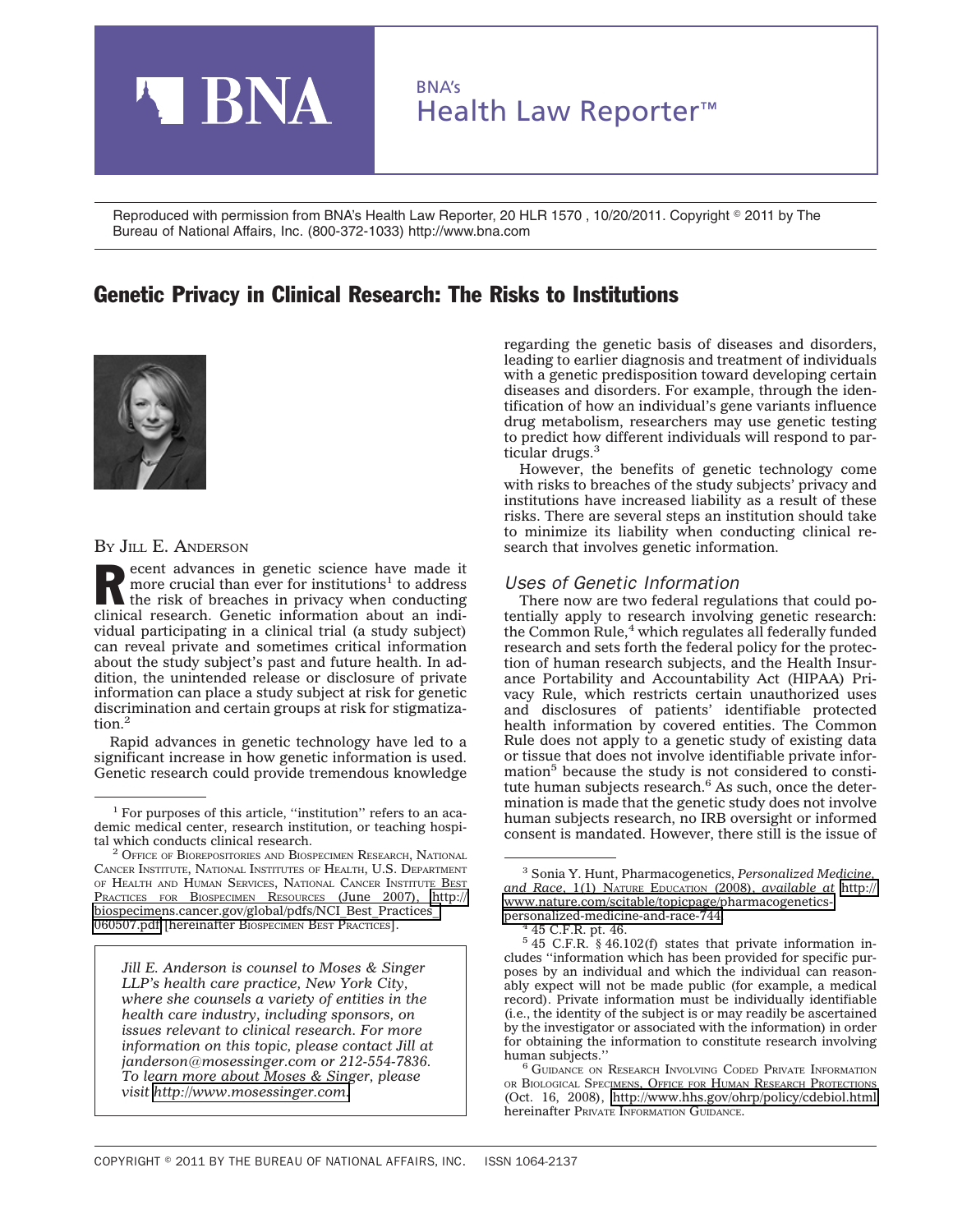

Reproduced with permission from BNA's Health Law Reporter, 20 HLR 1570 , 10/20/2011. Copyright © 2011 by The Bureau of National Affairs, Inc. (800-372-1033) http://www.bna.com

## Genetic Privacy in Clinical Research: The Risks to Institutions



#### BY JILL E. ANDERSON

Recent advances in genetic science have made it<br>more crucial than ever for institutions<sup>1</sup> to address<br>the risk of breaches in privacy when conducting<br>eliminal scanting constitutions in the state more crucial than ever for institutions<sup>1</sup> to address the risk of breaches in privacy when conducting clinical research. Genetic information about an individual participating in a clinical trial (a study subject) can reveal private and sometimes critical information about the study subject's past and future health. In addition, the unintended release or disclosure of private information can place a study subject at risk for genetic discrimination and certain groups at risk for stigmatization.2

Rapid advances in genetic technology have led to a significant increase in how genetic information is used. Genetic research could provide tremendous knowledge

*Jill E. Anderson is counsel to Moses & Singer LLP's health care practice, New York City, where she counsels a variety of entities in the health care industry, including sponsors, on issues relevant to clinical research. For more information on this topic, please contact Jill at janderson@mosessinger.com or 212-554-7836. To learn more about Moses & Singer, please visit [http://www.mosessinger.com.](http://www.mosessinger.com)*

regarding the genetic basis of diseases and disorders, leading to earlier diagnosis and treatment of individuals with a genetic predisposition toward developing certain diseases and disorders. For example, through the identification of how an individual's gene variants influence drug metabolism, researchers may use genetic testing to predict how different individuals will respond to particular drugs. $\frac{3}{2}$ 

However, the benefits of genetic technology come with risks to breaches of the study subjects' privacy and institutions have increased liability as a result of these risks. There are several steps an institution should take to minimize its liability when conducting clinical research that involves genetic information.

#### *Uses of Genetic Information*

There now are two federal regulations that could potentially apply to research involving genetic research: the Common Rule,<sup>4</sup> which regulates all federally funded research and sets forth the federal policy for the protection of human research subjects, and the Health Insurance Portability and Accountability Act (HIPAA) Privacy Rule, which restricts certain unauthorized uses and disclosures of patients' identifiable protected health information by covered entities. The Common Rule does not apply to a genetic study of existing data or tissue that does not involve identifiable private information<sup>5</sup> because the study is not considered to constitute human subjects research. $<sup>6</sup>$  As such, once the deter-</sup> mination is made that the genetic study does not involve human subjects research, no IRB oversight or informed consent is mandated. However, there still is the issue of

<sup>&</sup>lt;sup>1</sup> For purposes of this article, "institution" refers to an academic medical center, research institution, or teaching hospital which conducts clinical research.

<sup>&</sup>lt;sup>2</sup> OFFICE OF BIOREPOSITORIES AND BIOSPECIMEN RESEARCH, NATIONAL CANCER INSTITUTE, NATIONAL INSTITUTES OF HEALTH, U.S. DEPARTMENT OF HEALTH AND HUMAN SERVICES, NATIONAL CANCER INSTITUTE BEST PRACTICES FOR BIOSPECIMEN RESOURCES (June 2007), [http://](http://biospecimens.cancer.gov/global/pdfs/NCI_Best_Practices_060507.pdf) [biospecimens.cancer.gov/global/pdfs/NCI\\_Best\\_Practices\\_](http://biospecimens.cancer.gov/global/pdfs/NCI_Best_Practices_060507.pdf) [060507.pdf](http://biospecimens.cancer.gov/global/pdfs/NCI_Best_Practices_060507.pdf) [hereinafter BIOSPECIMEN BEST PRACTICES].

<sup>3</sup> Sonia Y. Hunt, Pharmacogenetics, *Personalized Medicine, and Race*, 1(1) NATURE EDUCATION (2008), *available at* [http://](http://www.nature.com/scitable/topicpage/pharmacogenetics-personalized-medicine-and-race-744) [www.nature.com/scitable/topicpage/pharmacogenetics](http://www.nature.com/scitable/topicpage/pharmacogenetics-personalized-medicine-and-race-744)[personalized-medicine-and-race-744.](http://www.nature.com/scitable/topicpage/pharmacogenetics-personalized-medicine-and-race-744) <sup>4</sup> 45 C.F.R. pt. 46.

<sup>5</sup> 45 C.F.R. § 46.102(f) states that private information includes ''information which has been provided for specific purposes by an individual and which the individual can reasonably expect will not be made public (for example, a medical record). Private information must be individually identifiable (i.e., the identity of the subject is or may readily be ascertained by the investigator or associated with the information) in order for obtaining the information to constitute research involving human subjects."

<sup>&</sup>lt;sup>6</sup> GUIDANCE ON RESEARCH INVOLVING CODED PRIVATE INFORMATION OR BIOLOGICAL SPECIMENS, OFFICE FOR HUMAN RESEARCH PROTECTIONS (Oct. 16, 2008),<http://www.hhs.gov/ohrp/policy/cdebiol.html> hereinafter PRIVATE INFORMATION GUIDANCE.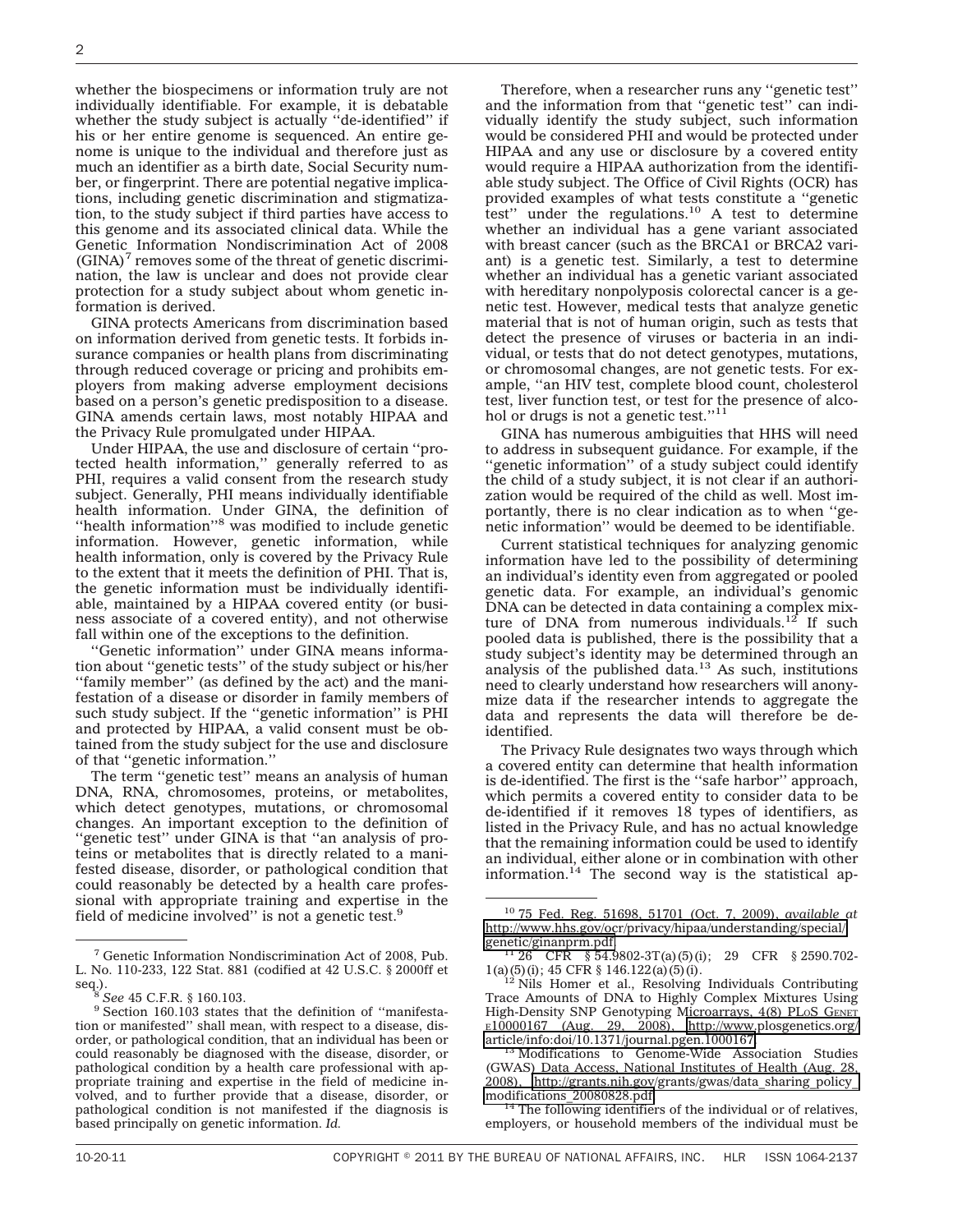whether the biospecimens or information truly are not individually identifiable. For example, it is debatable whether the study subject is actually "de-identified" if his or her entire genome is sequenced. An entire genome is unique to the individual and therefore just as much an identifier as a birth date, Social Security number, or fingerprint. There are potential negative implications, including genetic discrimination and stigmatization, to the study subject if third parties have access to this genome and its associated clinical data. While the Genetic Information Nondiscrimination Act of 2008  $(GINA)^7$  removes some of the threat of genetic discrimination, the law is unclear and does not provide clear protection for a study subject about whom genetic information is derived.

GINA protects Americans from discrimination based on information derived from genetic tests. It forbids insurance companies or health plans from discriminating through reduced coverage or pricing and prohibits employers from making adverse employment decisions based on a person's genetic predisposition to a disease. GINA amends certain laws, most notably HIPAA and the Privacy Rule promulgated under HIPAA.

Under HIPAA, the use and disclosure of certain ''protected health information,'' generally referred to as PHI, requires a valid consent from the research study subject. Generally, PHI means individually identifiable health information. Under GINA, the definition of "health information"<sup>8</sup> was modified to include genetic information. However, genetic information, while health information, only is covered by the Privacy Rule to the extent that it meets the definition of PHI. That is, the genetic information must be individually identifiable, maintained by a HIPAA covered entity (or business associate of a covered entity), and not otherwise fall within one of the exceptions to the definition.

''Genetic information'' under GINA means information about ''genetic tests'' of the study subject or his/her "family member" (as defined by the act) and the manifestation of a disease or disorder in family members of such study subject. If the ''genetic information'' is PHI and protected by HIPAA, a valid consent must be obtained from the study subject for the use and disclosure of that ''genetic information.''

The term ''genetic test'' means an analysis of human DNA, RNA, chromosomes, proteins, or metabolites, which detect genotypes, mutations, or chromosomal changes. An important exception to the definition of "genetic test" under GINA is that "an analysis of proteins or metabolites that is directly related to a manifested disease, disorder, or pathological condition that could reasonably be detected by a health care professional with appropriate training and expertise in the field of medicine involved'' is not a genetic test.9

Therefore, when a researcher runs any ''genetic test'' and the information from that ''genetic test'' can individually identify the study subject, such information would be considered PHI and would be protected under HIPAA and any use or disclosure by a covered entity would require a HIPAA authorization from the identifiable study subject. The Office of Civil Rights (OCR) has provided examples of what tests constitute a ''genetic test" under the regulations.<sup>10</sup> A test to determine whether an individual has a gene variant associated with breast cancer (such as the BRCA1 or BRCA2 variant) is a genetic test. Similarly, a test to determine whether an individual has a genetic variant associated with hereditary nonpolyposis colorectal cancer is a genetic test. However, medical tests that analyze genetic material that is not of human origin, such as tests that detect the presence of viruses or bacteria in an individual, or tests that do not detect genotypes, mutations, or chromosomal changes, are not genetic tests. For example, ''an HIV test, complete blood count, cholesterol test, liver function test, or test for the presence of alcohol or drugs is not a genetic test."<sup>11</sup>

GINA has numerous ambiguities that HHS will need to address in subsequent guidance. For example, if the "genetic information" of a study subject could identify the child of a study subject, it is not clear if an authorization would be required of the child as well. Most importantly, there is no clear indication as to when ''genetic information'' would be deemed to be identifiable.

Current statistical techniques for analyzing genomic information have led to the possibility of determining an individual's identity even from aggregated or pooled genetic data. For example, an individual's genomic DNA can be detected in data containing a complex mixture of DNA from numerous individuals.<sup>12</sup> If such pooled data is published, there is the possibility that a study subject's identity may be determined through an analysis of the published data. $13$  As such, institutions need to clearly understand how researchers will anonymize data if the researcher intends to aggregate the data and represents the data will therefore be deidentified.

The Privacy Rule designates two ways through which a covered entity can determine that health information is de-identified. The first is the ''safe harbor'' approach, which permits a covered entity to consider data to be de-identified if it removes 18 types of identifiers, as listed in the Privacy Rule, and has no actual knowledge that the remaining information could be used to identify an individual, either alone or in combination with other information.14 The second way is the statistical ap-

 $14$  The following identifiers of the individual or of relatives, employers, or household members of the individual must be

<sup>7</sup> Genetic Information Nondiscrimination Act of 2008, Pub. L. No. 110-233, 122 Stat. 881 (codified at 42 U.S.C. § 2000ff et

seq.).<br><sup>8</sup> *See* 45 C.F.R. § 160.103.<br><sup>9</sup> Section 160.103 states that the definition of "manifestation or manifested'' shall mean, with respect to a disease, disorder, or pathological condition, that an individual has been or could reasonably be diagnosed with the disease, disorder, or pathological condition by a health care professional with appropriate training and expertise in the field of medicine involved, and to further provide that a disease, disorder, or pathological condition is not manifested if the diagnosis is based principally on genetic information. *Id.*

<sup>10</sup> 75 Fed. Reg. 51698, 51701 (Oct. 7, 2009), *available at* [http://www.hhs.gov/ocr/privacy/hipaa/understanding/special/](http://www.hhs.gov/ocr/privacy/hipaa/understanding/special/genetic/ginanprm.pdf)

 $^{11}$  26 CFR § 54.9802-3T(a)(5)(i); 29 CFR § 2590.702-1(a)(5)(i); 45 CFR § 146.122(a)(5)(i). 12 12 12 12 12 Nils Homer et al., Resolving Individuals Contributing

Trace Amounts of DNA to Highly Complex Mixtures Using High-Density SNP Genotyping Microarrays, 4(8) PLoS GENET  $E10000167$  (Aug. 29, 2008), [http://www.plosgenetics.org/](http://www.plosgenetics.org/article/info:doi/10.1371/journal.pgen.1000167)<br>article/info:doi/10.1371/journal.pgen.1000167.

<sup>&</sup>lt;sup>13</sup> Modifications to Genome-Wide Association Studies (GWAS) Data Access, National Institutes of Health (Aug. 28, 2008), [http://grants.nih.gov/grants/gwas/data\\_sharing\\_policy\\_](http://grants.nih.gov/grants/gwas/data_sharing_policy_modifications_20080828.pdf)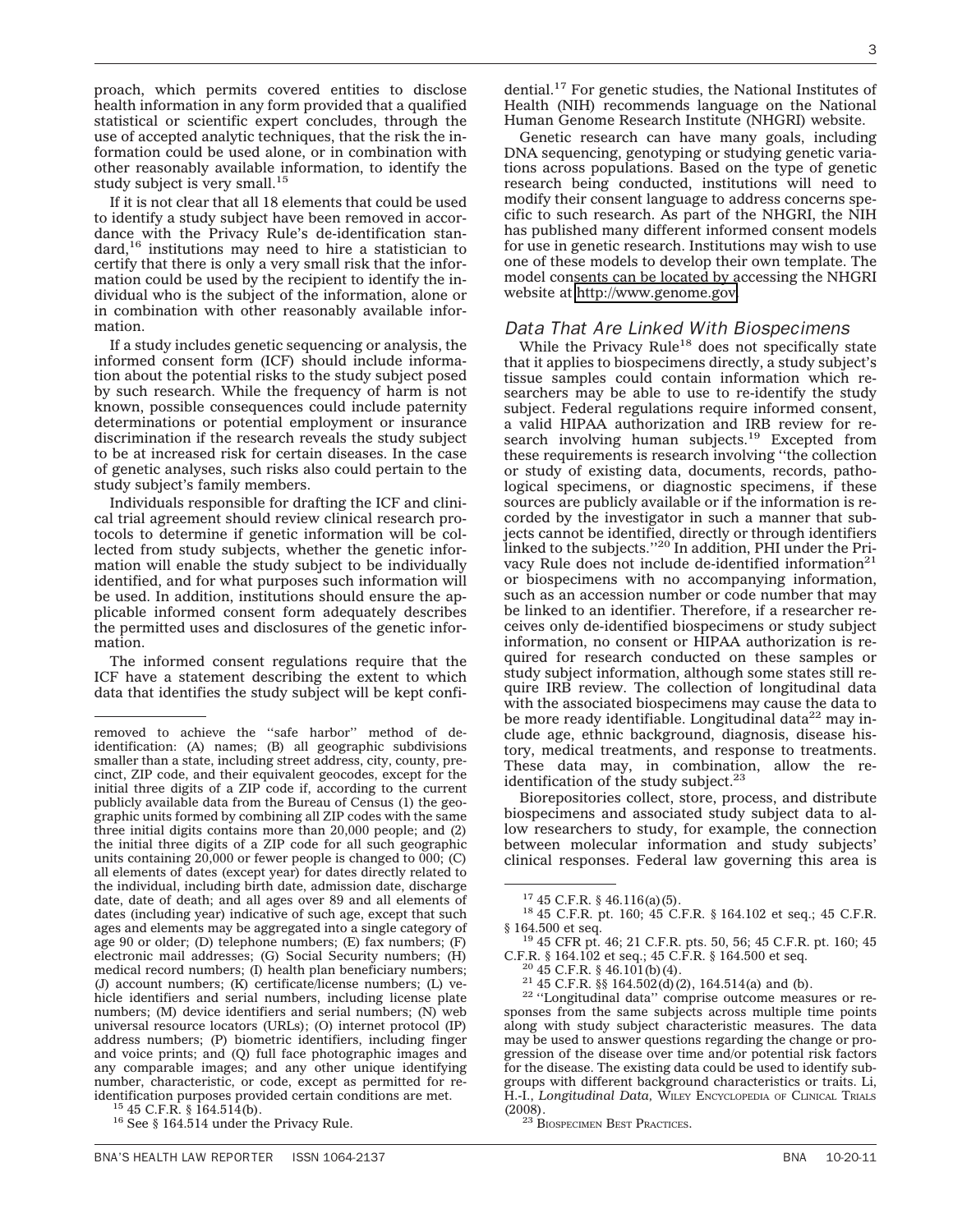proach, which permits covered entities to disclose health information in any form provided that a qualified statistical or scientific expert concludes, through the use of accepted analytic techniques, that the risk the information could be used alone, or in combination with other reasonably available information, to identify the study subject is very small.<sup>15</sup>

If it is not clear that all 18 elements that could be used to identify a study subject have been removed in accordance with the Privacy Rule's de-identification standard,16 institutions may need to hire a statistician to certify that there is only a very small risk that the information could be used by the recipient to identify the individual who is the subject of the information, alone or in combination with other reasonably available information.

If a study includes genetic sequencing or analysis, the informed consent form (ICF) should include information about the potential risks to the study subject posed by such research. While the frequency of harm is not known, possible consequences could include paternity determinations or potential employment or insurance discrimination if the research reveals the study subject to be at increased risk for certain diseases. In the case of genetic analyses, such risks also could pertain to the study subject's family members.

Individuals responsible for drafting the ICF and clinical trial agreement should review clinical research protocols to determine if genetic information will be collected from study subjects, whether the genetic information will enable the study subject to be individually identified, and for what purposes such information will be used. In addition, institutions should ensure the applicable informed consent form adequately describes the permitted uses and disclosures of the genetic information.

The informed consent regulations require that the ICF have a statement describing the extent to which data that identifies the study subject will be kept confi-

dential.17 For genetic studies, the National Institutes of Health (NIH) recommends language on the National Human Genome Research Institute (NHGRI) website.

Genetic research can have many goals, including DNA sequencing, genotyping or studying genetic variations across populations. Based on the type of genetic research being conducted, institutions will need to modify their consent language to address concerns specific to such research. As part of the NHGRI, the NIH has published many different informed consent models for use in genetic research. Institutions may wish to use one of these models to develop their own template. The model consents can be located by accessing the NHGRI website at [http://www.genome.gov.](http://www.genome.gov)

#### *Data That Are Linked With Biospecimens*

While the Privacy Rule<sup>18</sup> does not specifically state that it applies to biospecimens directly, a study subject's tissue samples could contain information which researchers may be able to use to re-identify the study subject. Federal regulations require informed consent, a valid HIPAA authorization and IRB review for research involving human subjects.<sup>19</sup> Excepted from these requirements is research involving ''the collection or study of existing data, documents, records, pathological specimens, or diagnostic specimens, if these sources are publicly available or if the information is recorded by the investigator in such a manner that subjects cannot be identified, directly or through identifiers linked to the subjects."<sup>20</sup> In addition, PHI under the Privacy Rule does not include de-identified information<sup>21</sup> or biospecimens with no accompanying information, such as an accession number or code number that may be linked to an identifier. Therefore, if a researcher receives only de-identified biospecimens or study subject information, no consent or HIPAA authorization is required for research conducted on these samples or study subject information, although some states still require IRB review. The collection of longitudinal data with the associated biospecimens may cause the data to be more ready identifiable. Longitudinal data $^{22}$  may include age, ethnic background, diagnosis, disease history, medical treatments, and response to treatments. These data may, in combination, allow the reidentification of the study subject. $23$ 

Biorepositories collect, store, process, and distribute biospecimens and associated study subject data to allow researchers to study, for example, the connection between molecular information and study subjects' clinical responses. Federal law governing this area is

<sup>20</sup> 45 C.F.R. § 46.101(b)(4).<br><sup>21</sup> 45 C.F.R. §§ 164.502(d)(2), 164.514(a) and (b).<br><sup>22</sup> "Longitudinal data" comprise outcome measures or responses from the same subjects across multiple time points along with study subject characteristic measures. The data may be used to answer questions regarding the change or progression of the disease over time and/or potential risk factors for the disease. The existing data could be used to identify subgroups with different background characteristics or traits. Li, H.-I., *Longitudinal Data,* WILEY ENCYCLOPEDIA OF CLINICAL TRIALS

<sup>23</sup> BIOSPECIMEN BEST PRACTICES.

removed to achieve the ''safe harbor'' method of deidentification: (A) names; (B) all geographic subdivisions smaller than a state, including street address, city, county, precinct, ZIP code, and their equivalent geocodes, except for the initial three digits of a ZIP code if, according to the current publicly available data from the Bureau of Census (1) the geographic units formed by combining all ZIP codes with the same three initial digits contains more than 20,000 people; and (2) the initial three digits of a ZIP code for all such geographic units containing 20,000 or fewer people is changed to 000; (C) all elements of dates (except year) for dates directly related to the individual, including birth date, admission date, discharge date, date of death; and all ages over 89 and all elements of dates (including year) indicative of such age, except that such ages and elements may be aggregated into a single category of age 90 or older; (D) telephone numbers; (E) fax numbers; (F) electronic mail addresses; (G) Social Security numbers; (H) medical record numbers; (I) health plan beneficiary numbers; (J) account numbers; (K) certificate/license numbers; (L) vehicle identifiers and serial numbers, including license plate numbers; (M) device identifiers and serial numbers; (N) web universal resource locators (URLs); (O) internet protocol (IP) address numbers; (P) biometric identifiers, including finger and voice prints; and (Q) full face photographic images and any comparable images; and any other unique identifying number, characteristic, or code, except as permitted for reidentification purposes provided certain conditions are met.<br><sup>15</sup> 45 C.F.R. § 164.514(b).<br><sup>16</sup> See § 164.514 under the Privacy Rule.

<sup>&</sup>lt;sup>17</sup> 45 C.F.R. § 46.116(a)(5).<br><sup>18</sup> 45 C.F.R. pt. 160; 45 C.F.R. § 164.102 et seq.; 45 C.F.R. § 164.500 et seq.

<sup>&</sup>lt;sup>19</sup> 45 CFR pt. 46; 21 C.F.R. pts. 50, 56; 45 C.F.R. pt. 160; 45 C.F.R. § 164.102 et seq.; 45 C.F.R. § 164.500 et seq.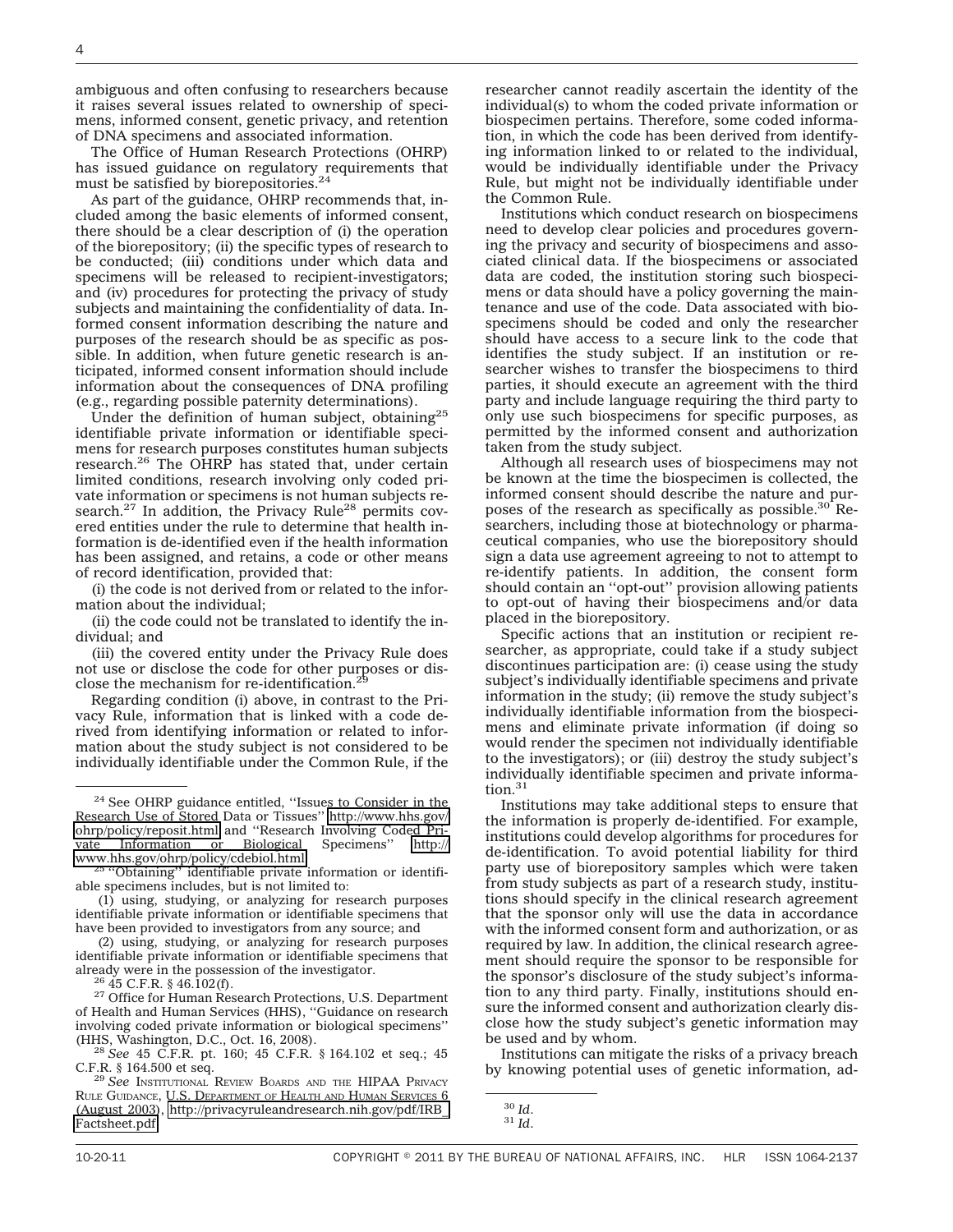ambiguous and often confusing to researchers because it raises several issues related to ownership of specimens, informed consent, genetic privacy, and retention of DNA specimens and associated information.

The Office of Human Research Protections (OHRP) has issued guidance on regulatory requirements that must be satisfied by biorepositories.<sup>24</sup>

As part of the guidance, OHRP recommends that, included among the basic elements of informed consent, there should be a clear description of (i) the operation of the biorepository; (ii) the specific types of research to be conducted; (iii) conditions under which data and specimens will be released to recipient-investigators; and (iv) procedures for protecting the privacy of study subjects and maintaining the confidentiality of data. Informed consent information describing the nature and purposes of the research should be as specific as possible. In addition, when future genetic research is anticipated, informed consent information should include information about the consequences of DNA profiling (e.g., regarding possible paternity determinations).

Under the definition of human subject, obtaining<sup>25</sup> identifiable private information or identifiable specimens for research purposes constitutes human subjects research.26 The OHRP has stated that, under certain limited conditions, research involving only coded private information or specimens is not human subjects research. $27$  In addition, the Privacy Rule<sup>28</sup> permits covered entities under the rule to determine that health information is de-identified even if the health information has been assigned, and retains, a code or other means of record identification, provided that:

(i) the code is not derived from or related to the information about the individual;

(ii) the code could not be translated to identify the individual; and

(iii) the covered entity under the Privacy Rule does not use or disclose the code for other purposes or disclose the mechanism for re-identification.<sup>29</sup>

Regarding condition (i) above, in contrast to the Privacy Rule, information that is linked with a code derived from identifying information or related to information about the study subject is not considered to be individually identifiable under the Common Rule, if the

(2) using, studying, or analyzing for research purposes identifiable private information or identifiable specimens that already were in the possession of the investigator.

 $\frac{26}{45}$  45 C.F.R. § 46.102(f). 27 Office for Human Research Protections, U.S. Department of Health and Human Services (HHS), ''Guidance on research involving coded private information or biological specimens''

(HHS, Washington, D.C., Oct. 16, 2008). <sup>28</sup> *See* 45 C.F.R. pt. 160; 45 C.F.R. § 164.102 et seq.; 45

<sup>29</sup> See INSTITUTIONAL REVIEW BOARDS AND THE HIPAA PRIVACY RULE GUIDANCE, U.S. DEPARTMENT OF HEALTH AND HUMAN SERVICES 6 (August 2003), [http://privacyruleandresearch.nih.gov/pdf/IRB\\_](http://privacyruleandresearch.nih.gov/pdf/IRB_Factsheet.pdf) [Factsheet.pdf.](http://privacyruleandresearch.nih.gov/pdf/IRB_Factsheet.pdf)

researcher cannot readily ascertain the identity of the individual(s) to whom the coded private information or biospecimen pertains. Therefore, some coded information, in which the code has been derived from identifying information linked to or related to the individual, would be individually identifiable under the Privacy Rule, but might not be individually identifiable under the Common Rule.

Institutions which conduct research on biospecimens need to develop clear policies and procedures governing the privacy and security of biospecimens and associated clinical data. If the biospecimens or associated data are coded, the institution storing such biospecimens or data should have a policy governing the maintenance and use of the code. Data associated with biospecimens should be coded and only the researcher should have access to a secure link to the code that identifies the study subject. If an institution or researcher wishes to transfer the biospecimens to third parties, it should execute an agreement with the third party and include language requiring the third party to only use such biospecimens for specific purposes, as permitted by the informed consent and authorization taken from the study subject.

Although all research uses of biospecimens may not be known at the time the biospecimen is collected, the informed consent should describe the nature and purposes of the research as specifically as possible. $30^{\circ}$  Researchers, including those at biotechnology or pharmaceutical companies, who use the biorepository should sign a data use agreement agreeing to not to attempt to re-identify patients. In addition, the consent form should contain an ''opt-out'' provision allowing patients to opt-out of having their biospecimens and/or data placed in the biorepository.

Specific actions that an institution or recipient researcher, as appropriate, could take if a study subject discontinues participation are: (i) cease using the study subject's individually identifiable specimens and private information in the study; (ii) remove the study subject's individually identifiable information from the biospecimens and eliminate private information (if doing so would render the specimen not individually identifiable to the investigators); or (iii) destroy the study subject's individually identifiable specimen and private information.<sup>3</sup>

Institutions may take additional steps to ensure that the information is properly de-identified. For example, institutions could develop algorithms for procedures for de-identification. To avoid potential liability for third party use of biorepository samples which were taken from study subjects as part of a research study, institutions should specify in the clinical research agreement that the sponsor only will use the data in accordance with the informed consent form and authorization, or as required by law. In addition, the clinical research agreement should require the sponsor to be responsible for the sponsor's disclosure of the study subject's information to any third party. Finally, institutions should ensure the informed consent and authorization clearly disclose how the study subject's genetic information may be used and by whom.

Institutions can mitigate the risks of a privacy breach by knowing potential uses of genetic information, ad-

<sup>24</sup> See OHRP guidance entitled, ''Issues to Consider in the Research Use of Stored Data or Tissues'' [http://www.hhs.gov/](http://www.hhs.gov/ohrp/policy/reposit.html) [ohrp/policy/reposit.html](http://www.hhs.gov/ohrp/policy/reposit.html) and ''Research Involving Coded Private Information or Biological Specimens'' [http://](http://www.hhs.gov/ohrp/policy/cdebiol.html)

<sup>&</sup>lt;sup>25</sup> "Obtaining" identifiable private information or identifiable specimens includes, but is not limited to:

<sup>(1)</sup> using, studying, or analyzing for research purposes identifiable private information or identifiable specimens that have been provided to investigators from any source; and

<sup>30</sup> *Id*. <sup>31</sup> *Id*.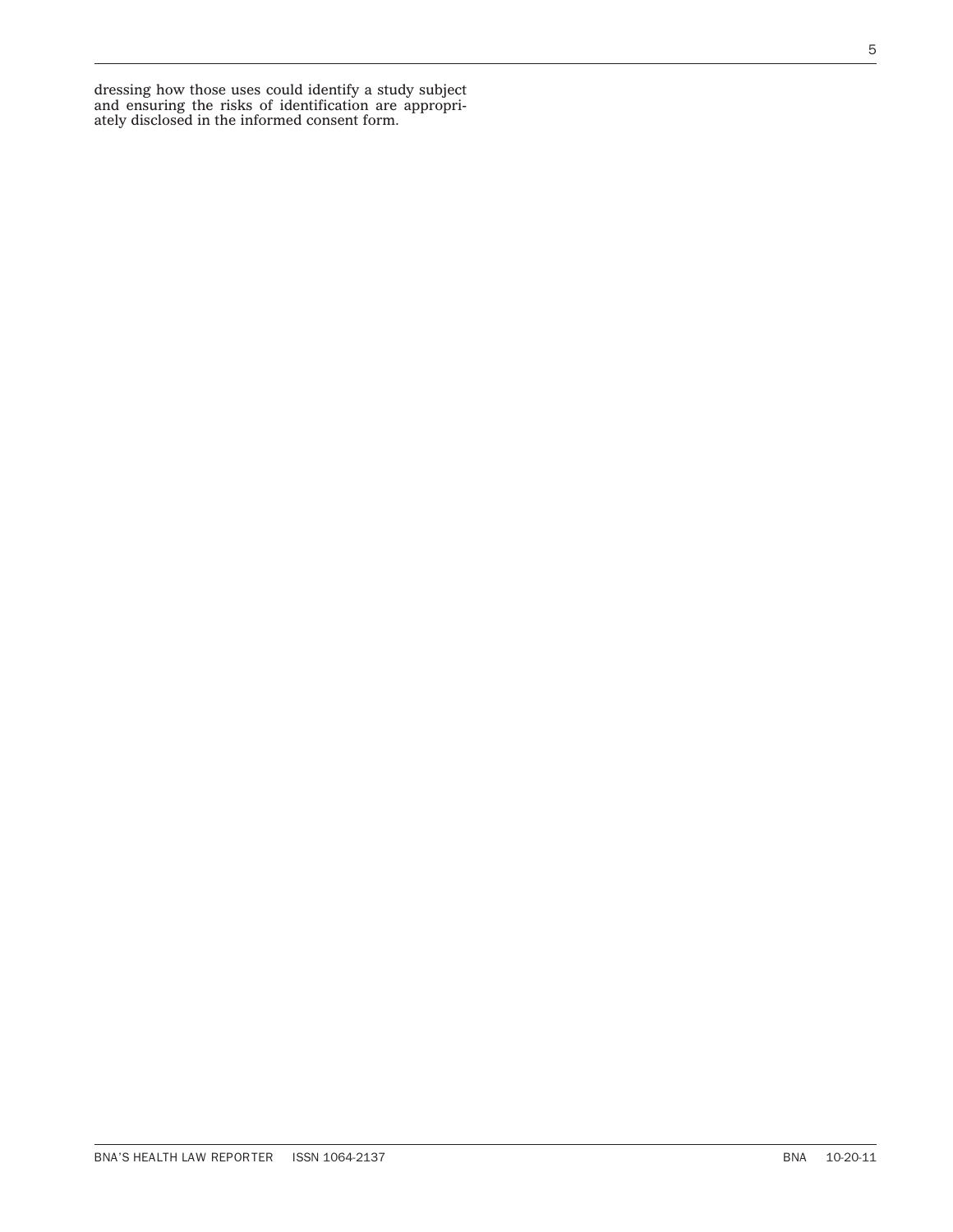dressing how those uses could identify a study subject and ensuring the risks of identification are appropriately disclosed in the informed consent form.